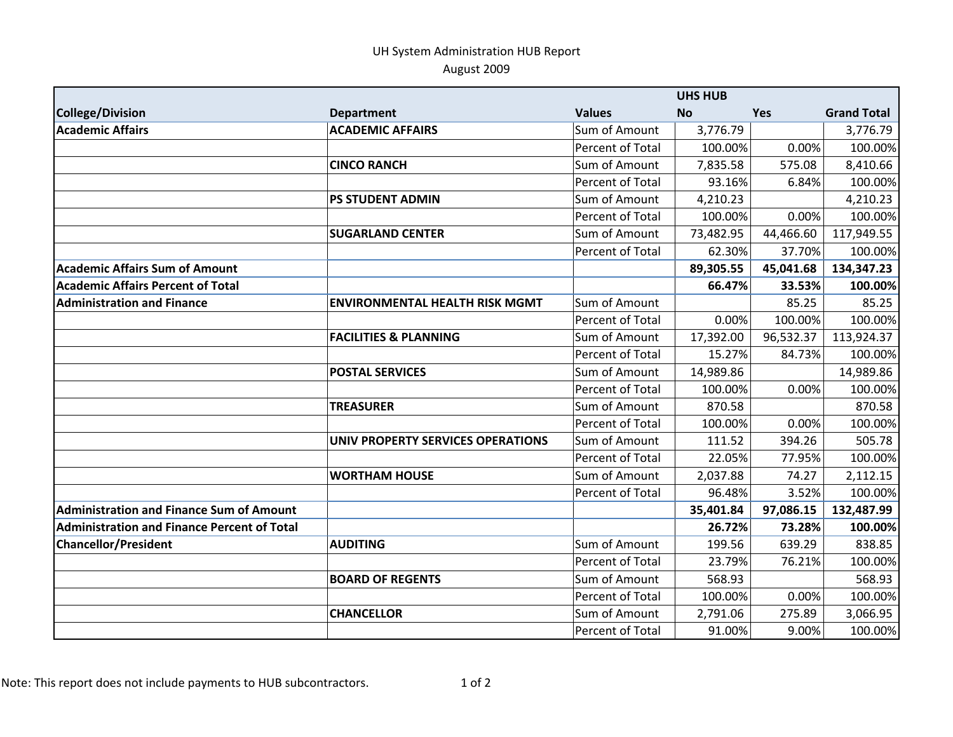## UH System Administration HUB Report August 2009

| <b>College/Division</b>                            | <b>Department</b>                     | <b>Values</b>           | <b>No</b> | <b>Yes</b> | <b>Grand Total</b> |
|----------------------------------------------------|---------------------------------------|-------------------------|-----------|------------|--------------------|
| <b>Academic Affairs</b>                            | <b>ACADEMIC AFFAIRS</b>               | Sum of Amount           | 3,776.79  |            | 3,776.79           |
|                                                    |                                       | <b>Percent of Total</b> | 100.00%   | 0.00%      | 100.00%            |
|                                                    | <b>CINCO RANCH</b>                    | Sum of Amount           | 7,835.58  | 575.08     | 8,410.66           |
|                                                    |                                       | Percent of Total        | 93.16%    | 6.84%      | 100.00%            |
|                                                    | <b>PS STUDENT ADMIN</b>               | Sum of Amount           | 4,210.23  |            | 4,210.23           |
|                                                    |                                       | Percent of Total        | 100.00%   | 0.00%      | 100.00%            |
|                                                    | <b>SUGARLAND CENTER</b>               | Sum of Amount           | 73,482.95 | 44,466.60  | 117,949.55         |
|                                                    |                                       | <b>Percent of Total</b> | 62.30%    | 37.70%     | 100.00%            |
| <b>Academic Affairs Sum of Amount</b>              |                                       |                         | 89,305.55 | 45,041.68  | 134,347.23         |
| <b>Academic Affairs Percent of Total</b>           |                                       |                         | 66.47%    | 33.53%     | 100.00%            |
| <b>Administration and Finance</b>                  | <b>ENVIRONMENTAL HEALTH RISK MGMT</b> | Sum of Amount           |           | 85.25      | 85.25              |
|                                                    |                                       | Percent of Total        | 0.00%     | 100.00%    | 100.00%            |
|                                                    | <b>FACILITIES &amp; PLANNING</b>      | Sum of Amount           | 17,392.00 | 96,532.37  | 113,924.37         |
|                                                    |                                       | <b>Percent of Total</b> | 15.27%    | 84.73%     | 100.00%            |
|                                                    | <b>POSTAL SERVICES</b>                | Sum of Amount           | 14,989.86 |            | 14,989.86          |
|                                                    |                                       | Percent of Total        | 100.00%   | 0.00%      | 100.00%            |
|                                                    | <b>TREASURER</b>                      | Sum of Amount           | 870.58    |            | 870.58             |
|                                                    |                                       | <b>Percent of Total</b> | 100.00%   | 0.00%      | 100.00%            |
|                                                    | UNIV PROPERTY SERVICES OPERATIONS     | Sum of Amount           | 111.52    | 394.26     | 505.78             |
|                                                    |                                       | <b>Percent of Total</b> | 22.05%    | 77.95%     | 100.00%            |
|                                                    | <b>WORTHAM HOUSE</b>                  | Sum of Amount           | 2,037.88  | 74.27      | 2,112.15           |
|                                                    |                                       | Percent of Total        | 96.48%    | 3.52%      | 100.00%            |
| <b>Administration and Finance Sum of Amount</b>    |                                       |                         | 35,401.84 | 97,086.15  | 132,487.99         |
| <b>Administration and Finance Percent of Total</b> |                                       |                         | 26.72%    | 73.28%     | 100.00%            |
| <b>Chancellor/President</b>                        | <b>AUDITING</b>                       | Sum of Amount           | 199.56    | 639.29     | 838.85             |
|                                                    |                                       | Percent of Total        | 23.79%    | 76.21%     | 100.00%            |
|                                                    | <b>BOARD OF REGENTS</b>               | Sum of Amount           | 568.93    |            | 568.93             |
|                                                    |                                       | <b>Percent of Total</b> | 100.00%   | 0.00%      | 100.00%            |
|                                                    | <b>CHANCELLOR</b>                     | Sum of Amount           | 2,791.06  | 275.89     | 3,066.95           |
|                                                    |                                       | Percent of Total        | 91.00%    | 9.00%      | 100.00%            |